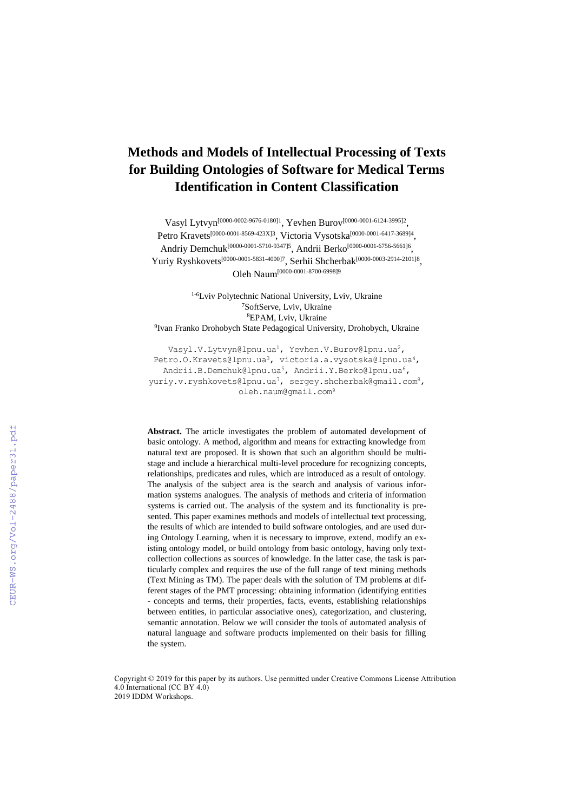# **Methods and Models of Intellectual Processing of Texts for Building Ontologies of Software for Medical Terms Identification in Content Classification**

Vasyl Lytvyn<sup>[\[0000-0002-9676-0180\]1](http://orcid.org/0000-0002-9676-0180)</sup>, Yevhen Burov<sup>[0000-0001-6124-3995]2</sup>, Petro Kravets<sup>[0000-0001-8569-423X]3</sup>, Victoria Vysotska<sup>[\[0000-0001-6417-3689\]](http://orcid.org/0000-0001-6417-3689)4</sup>, Andriy Demchuk<sup>[0000-0001-5710-9347]5</sup>, Andrii Berko<sup>[0000-0001-6756-5661]6</sup>, Yuriy Ryshkovets<sup>[0000-0001-5831-4000]7</sup>, Serhii Shcherbak<sup>[0000-0003-2914-2101]8</sup>, Oleh Naum[0000-0001-8700-6998]9

1-6Lviv Polytechnic National University, Lviv, Ukraine SoftServe, Lviv, Ukraine EPAM, Lviv, Ukraine Ivan Franko Drohobych State Pedagogical University, Drohobych, Ukraine

[Vasyl.V.Lytvyn@lpnu.ua](mailto:Vasyl.V.Lytvyn@lpnu.ua)<sup>1</sup>, [Yevhen.V.Burov@lpnu.ua](mailto:Yevhen.V.Burov@lpnu.ua2)<sup>2</sup>, [Petro.O.Kravets@lpnu.ua](mailto:Petro.O.Kravets@lpnu.ua3)<sup>3</sup>, [victoria.a.vysotska@lpnu.ua](mailto:victoria.a.vysotska@lpnu.ua4)<sup>4</sup>, [Andrii.B.Demchuk@lpnu.ua](mailto:Andrii.B.Demchuk@lpnu.ua)<sup>5</sup>, [Andrii.Y.Berko@lpnu.ua](mailto:Andrii.Y.Berko@lpnu.ua)<sup>6</sup>, [yuriy.v.ryshkovets@lpnu.ua](mailto:yuriy.v.ryshkovets@lpnu.ua7)<sup>7</sup>, [sergey.shcherbak@gmail.com](mailto:sergey.shcherbak@gmail.com8)<sup>8</sup>, oleh.naum@gmail.com<sup>9</sup>

**Abstract.** The article investigates the problem of automated development of basic ontology. A method, algorithm and means for extracting knowledge from natural text are proposed. It is shown that such an algorithm should be multistage and include a hierarchical multi-level procedure for recognizing concepts, relationships, predicates and rules, which are introduced as a result of ontology. The analysis of the subject area is the search and analysis of various information systems analogues. The analysis of methods and criteria of information systems is carried out. The analysis of the system and its functionality is presented. This paper examines methods and models of intellectual text processing, the results of which are intended to build software ontologies, and are used during Ontology Learning, when it is necessary to improve, extend, modify an existing ontology model, or build ontology from basic ontology, having only textcollection collections as sources of knowledge. In the latter case, the task is particularly complex and requires the use of the full range of text mining methods (Text Mining as TM). The paper deals with the solution of TM problems at different stages of the PMT processing: obtaining information (identifying entities - concepts and terms, their properties, facts, events, establishing relationships between entities, in particular associative ones), categorization, and clustering, semantic annotation. Below we will consider the tools of automated analysis of natural language and software products implemented on their basis for filling the system.

Copyright © 2019 for this paper by its authors. Use permitted under Creative Commons License Attribution 4.0 International (CC BY 4.0) 2019 IDDM Workshops.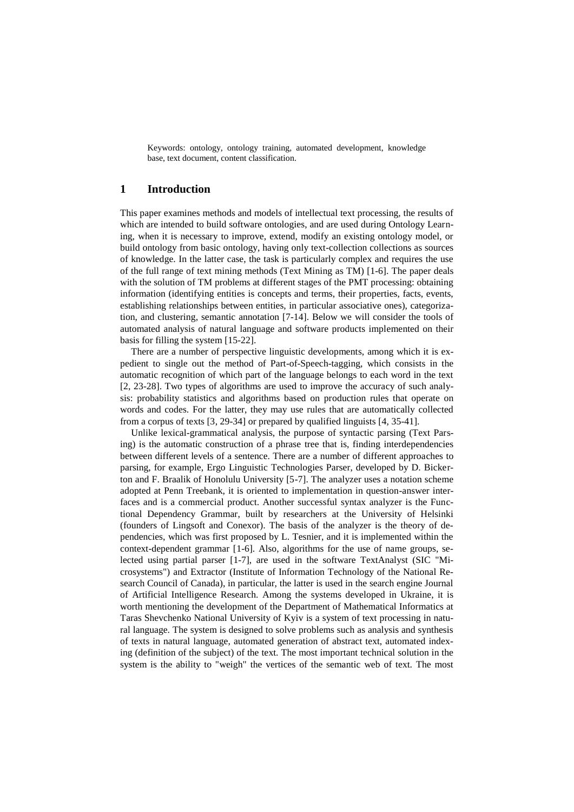Keywords: ontology, ontology training, automated development, knowledge base, text document, content classification.

# **1 Introduction**

This paper examines methods and models of intellectual text processing, the results of which are intended to build software ontologies, and are used during Ontology Learning, when it is necessary to improve, extend, modify an existing ontology model, or build ontology from basic ontology, having only text-collection collections as sources of knowledge. In the latter case, the task is particularly complex and requires the use of the full range of text mining methods (Text Mining as TM) [1-6]. The paper deals with the solution of TM problems at different stages of the PMT processing: obtaining information (identifying entities is concepts and terms, their properties, facts, events, establishing relationships between entities, in particular associative ones), categorization, and clustering, semantic annotation [7-14]. Below we will consider the tools of automated analysis of natural language and software products implemented on their basis for filling the system [15-22].

There are a number of perspective linguistic developments, among which it is expedient to single out the method of Part-of-Speech-tagging, which consists in the automatic recognition of which part of the language belongs to each word in the text [2, 23-28]. Two types of algorithms are used to improve the accuracy of such analysis: probability statistics and algorithms based on production rules that operate on words and codes. For the latter, they may use rules that are automatically collected from a corpus of texts [3, 29-34] or prepared by qualified linguists [4, 35-41].

Unlike lexical-grammatical analysis, the purpose of syntactic parsing (Text Parsing) is the automatic construction of a phrase tree that is, finding interdependencies between different levels of a sentence. There are a number of different approaches to parsing, for example, Ergo Linguistic Technologies Parser, developed by D. Bickerton and F. Braalik of Honolulu University [5-7]. The analyzer uses a notation scheme adopted at Penn Treebank, it is oriented to implementation in question-answer interfaces and is a commercial product. Another successful syntax analyzer is the Functional Dependency Grammar, built by researchers at the University of Helsinki (founders of Lingsoft and Conexor). The basis of the analyzer is the theory of dependencies, which was first proposed by L. Tesnier, and it is implemented within the context-dependent grammar [1-6]. Also, algorithms for the use of name groups, selected using partial parser [1-7], are used in the software TextAnalyst (SIC "Microsystems") and Extractor (Institute of Information Technology of the National Research Council of Canada), in particular, the latter is used in the search engine Journal of Artificial Intelligence Research. Among the systems developed in Ukraine, it is worth mentioning the development of the Department of Mathematical Informatics at Taras Shevchenko National University of Kyiv is a system of text processing in natural language. The system is designed to solve problems such as analysis and synthesis of texts in natural language, automated generation of abstract text, automated indexing (definition of the subject) of the text. The most important technical solution in the system is the ability to "weigh" the vertices of the semantic web of text. The most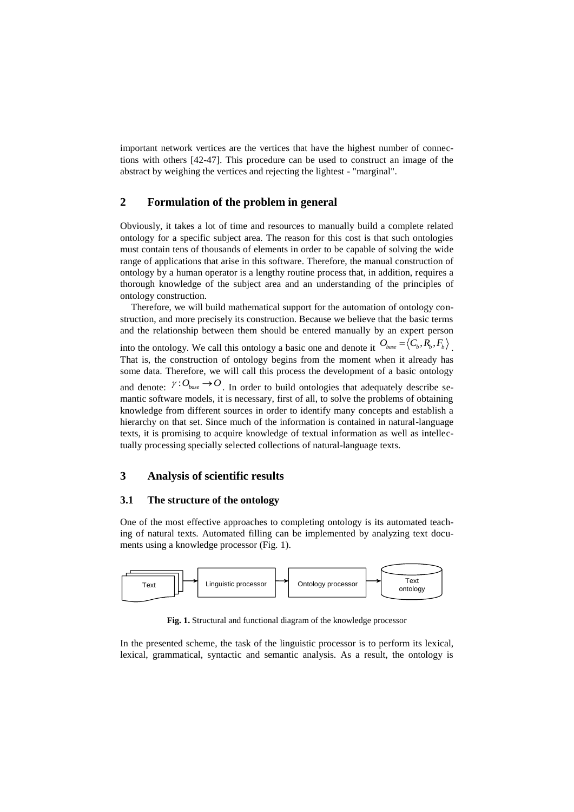important network vertices are the vertices that have the highest number of connections with others [42-47]. This procedure can be used to construct an image of the abstract by weighing the vertices and rejecting the lightest - "marginal".

# **2 Formulation of the problem in general**

Obviously, it takes a lot of time and resources to manually build a complete related ontology for a specific subject area. The reason for this cost is that such ontologies must contain tens of thousands of elements in order to be capable of solving the wide range of applications that arise in this software. Therefore, the manual construction of ontology by a human operator is a lengthy routine process that, in addition, requires a thorough knowledge of the subject area and an understanding of the principles of ontology construction.

Therefore, we will build mathematical support for the automation of ontology construction, and more precisely its construction. Because we believe that the basic terms and the relationship between them should be entered manually by an expert person into the ontology. We call this ontology a basic one and denote it  $O_{base} = \langle C_b, R_b, F_b \rangle$ . That is, the construction of ontology begins from the moment when it already has some data. Therefore, we will call this process the development of a basic ontology and denote:  $\gamma:O_{base} \rightarrow O$ . In order to build ontologies that adequately describe semantic software models, it is necessary, first of all, to solve the problems of obtaining knowledge from different sources in order to identify many concepts and establish a hierarchy on that set. Since much of the information is contained in natural-language texts, it is promising to acquire knowledge of textual information as well as intellectually processing specially selected collections of natural-language texts.

# **3 Analysis of scientific results**

## **3.1 The structure of the ontology**

One of the most effective approaches to completing ontology is its automated teaching of natural texts. Automated filling can be implemented by analyzing text documents using a knowledge processor (Fig. 1).



**Fig. 1.** Structural and functional diagram of the knowledge processor

In the presented scheme, the task of the linguistic processor is to perform its lexical, lexical, grammatical, syntactic and semantic analysis. As a result, the ontology is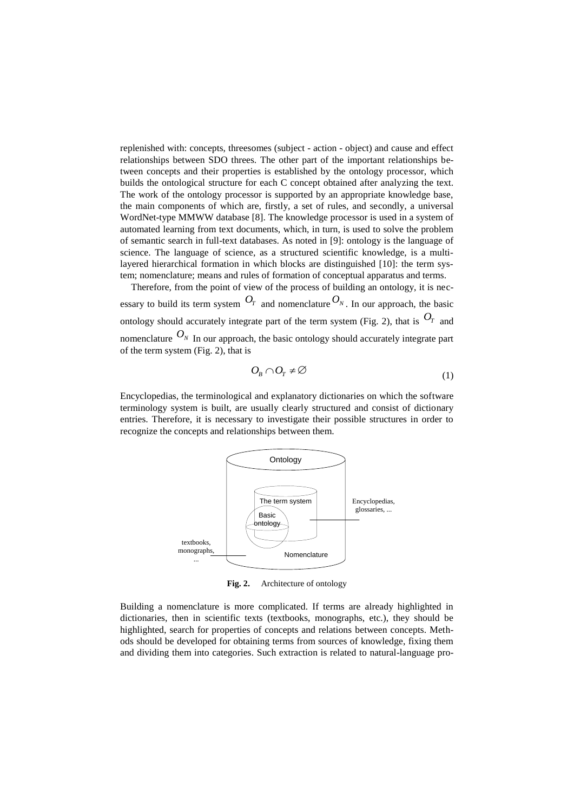replenished with: concepts, threesomes (subject - action - object) and cause and effect relationships between SDO threes. The other part of the important relationships between concepts and their properties is established by the ontology processor, which builds the ontological structure for each C concept obtained after analyzing the text. The work of the ontology processor is supported by an appropriate knowledge base, the main components of which are, firstly, a set of rules, and secondly, a universal WordNet-type MMWW database [8]. The knowledge processor is used in a system of automated learning from text documents, which, in turn, is used to solve the problem of semantic search in full-text databases. As noted in [9]: ontology is the language of science. The language of science, as a structured scientific knowledge, is a multilayered hierarchical formation in which blocks are distinguished [10]: the term system; nomenclature; means and rules of formation of conceptual apparatus and terms.

Therefore, from the point of view of the process of building an ontology, it is necessary to build its term system  $O_T$  and nomenclature  $O_N$ . In our approach, the basic ontology should accurately integrate part of the term system (Fig. 2), that is  $O_T$  and nomenclature  $O_N$  In our approach, the basic ontology should accurately integrate part of the term system (Fig. 2), that is

$$
O_{B} \cap O_{T} \neq \varnothing \tag{1}
$$

Encyclopedias, the terminological and explanatory dictionaries on which the software terminology system is built, are usually clearly structured and consist of dictionary entries. Therefore, it is necessary to investigate their possible structures in order to recognize the concepts and relationships between them.



**Fig. 2.** Architecture of ontology

Building a nomenclature is more complicated. If terms are already highlighted in dictionaries, then in scientific texts (textbooks, monographs, etc.), they should be highlighted, search for properties of concepts and relations between concepts. Methods should be developed for obtaining terms from sources of knowledge, fixing them and dividing them into categories. Such extraction is related to natural-language pro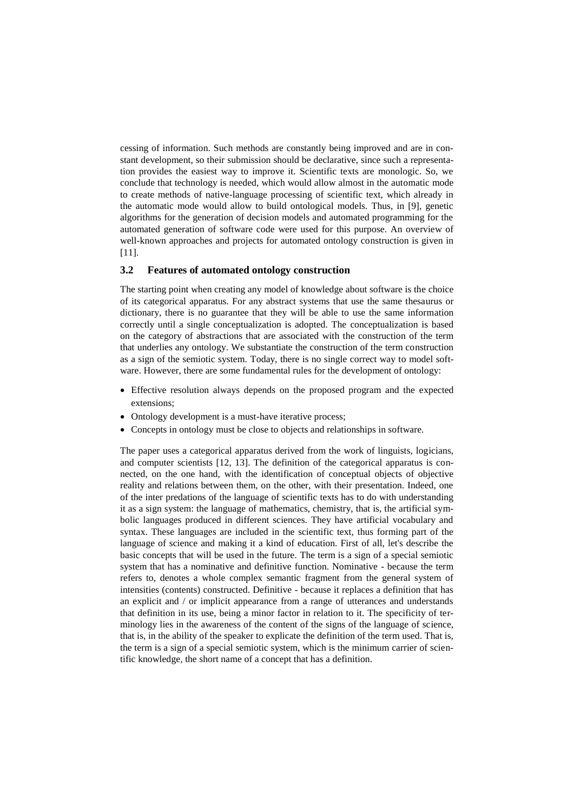cessing of information. Such methods are constantly being improved and are in constant development, so their submission should be declarative, since such a representation provides the easiest way to improve it. Scientific texts are monologic. So, we conclude that technology is needed, which would allow almost in the automatic mode to create methods of native-language processing of scientific text, which already in the automatic mode would allow to build ontological models. Thus, in [9], genetic algorithms for the generation of decision models and automated programming for the automated generation of software code were used for this purpose. An overview of well-known approaches and projects for automated ontology construction is given in [11].

#### **3.2 Features of automated ontology construction**

The starting point when creating any model of knowledge about software is the choice of its categorical apparatus. For any abstract systems that use the same thesaurus or dictionary, there is no guarantee that they will be able to use the same information correctly until a single conceptualization is adopted. The conceptualization is based on the category of abstractions that are associated with the construction of the term that underlies any ontology. We substantiate the construction of the term construction as a sign of the semiotic system. Today, there is no single correct way to model software. However, there are some fundamental rules for the development of ontology:

- Effective resolution always depends on the proposed program and the expected extensions;
- Ontology development is a must-have iterative process;
- Concepts in ontology must be close to objects and relationships in software.

The paper uses a categorical apparatus derived from the work of linguists, logicians, and computer scientists [12, 13]. The definition of the categorical apparatus is connected, on the one hand, with the identification of conceptual objects of objective reality and relations between them, on the other, with their presentation. Indeed, one of the inter predations of the language of scientific texts has to do with understanding it as a sign system: the language of mathematics, chemistry, that is, the artificial symbolic languages produced in different sciences. They have artificial vocabulary and syntax. These languages are included in the scientific text, thus forming part of the language of science and making it a kind of education. First of all, let's describe the basic concepts that will be used in the future. The term is a sign of a special semiotic system that has a nominative and definitive function. Nominative - because the term refers to, denotes a whole complex semantic fragment from the general system of intensities (contents) constructed. Definitive - because it replaces a definition that has an explicit and / or implicit appearance from a range of utterances and understands that definition in its use, being a minor factor in relation to it. The specificity of terminology lies in the awareness of the content of the signs of the language of science, that is, in the ability of the speaker to explicate the definition of the term used. That is, the term is a sign of a special semiotic system, which is the minimum carrier of scientific knowledge, the short name of a concept that has a definition.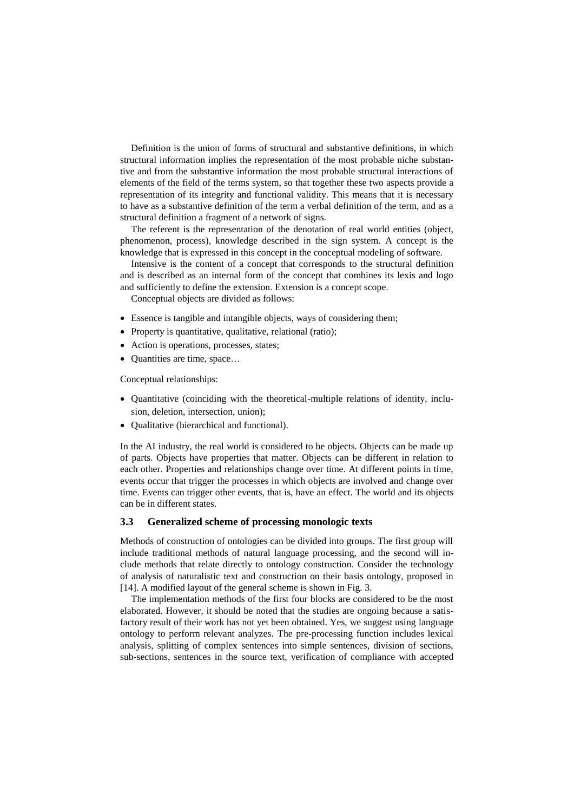Definition is the union of forms of structural and substantive definitions, in which structural information implies the representation of the most probable niche substantive and from the substantive information the most probable structural interactions of elements of the field of the terms system, so that together these two aspects provide a representation of its integrity and functional validity. This means that it is necessary to have as a substantive definition of the term a verbal definition of the term, and as a structural definition a fragment of a network of signs.

The referent is the representation of the denotation of real world entities (object, phenomenon, process), knowledge described in the sign system. A concept is the knowledge that is expressed in this concept in the conceptual modeling of software.

Intensive is the content of a concept that corresponds to the structural definition and is described as an internal form of the concept that combines its lexis and logo and sufficiently to define the extension. Extension is a concept scope.

Conceptual objects are divided as follows:

- Essence is tangible and intangible objects, ways of considering them;
- Property is quantitative, qualitative, relational (ratio);
- Action is operations, processes, states;
- Quantities are time, space...

Conceptual relationships:

- Quantitative (coinciding with the theoretical-multiple relations of identity, inclusion, deletion, intersection, union);
- Oualitative (hierarchical and functional).

In the AI industry, the real world is considered to be objects. Objects can be made up of parts. Objects have properties that matter. Objects can be different in relation to each other. Properties and relationships change over time. At different points in time, events occur that trigger the processes in which objects are involved and change over time. Events can trigger other events, that is, have an effect. The world and its objects can be in different states.

#### **3.3 Generalized scheme of processing monologic texts**

Methods of construction of ontologies can be divided into groups. The first group will include traditional methods of natural language processing, and the second will include methods that relate directly to ontology construction. Consider the technology of analysis of naturalistic text and construction on their basis ontology, proposed in [14]. A modified layout of the general scheme is shown in Fig. 3.

The implementation methods of the first four blocks are considered to be the most elaborated. However, it should be noted that the studies are ongoing because a satisfactory result of their work has not yet been obtained. Yes, we suggest using language ontology to perform relevant analyzes. The pre-processing function includes lexical analysis, splitting of complex sentences into simple sentences, division of sections, sub-sections, sentences in the source text, verification of compliance with accepted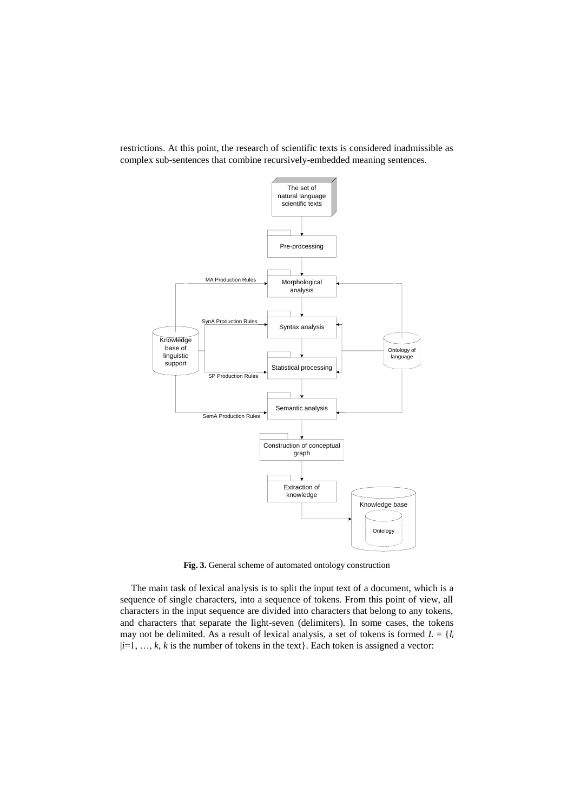

restrictions. At this point, the research of scientific texts is considered inadmissible as complex sub-sentences that combine recursively-embedded meaning sentences.

**Fig. 3.** General scheme of automated ontology construction

The main task of lexical analysis is to split the input text of a document, which is a sequence of single characters, into a sequence of tokens. From this point of view, all characters in the input sequence are divided into characters that belong to any tokens, and characters that separate the light-seven (delimiters). In some cases, the tokens may not be delimited. As a result of lexical analysis, a set of tokens is formed  $L = \{l_i\}$  $|i=1, ..., k, k$  is the number of tokens in the text}. Each token is assigned a vector: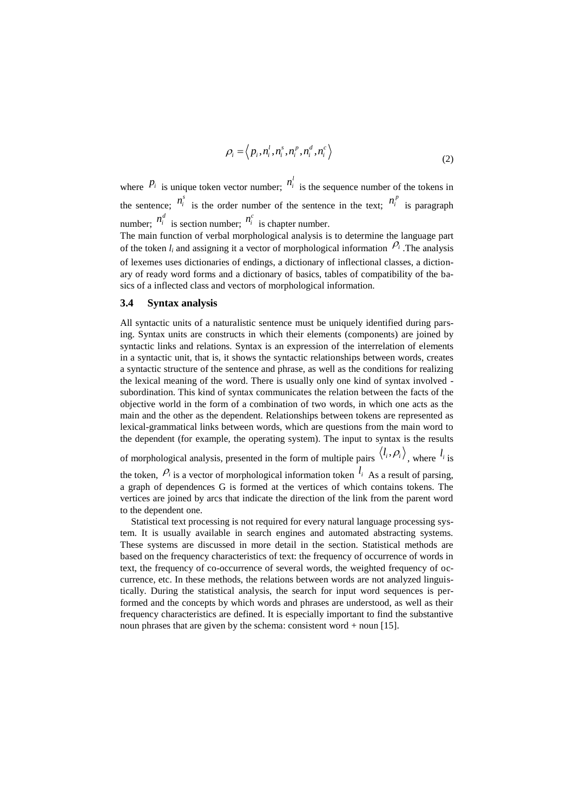$$
\rho_i = \left\langle p_i, n_i^l, n_i^s, n_i^p, n_i^d, n_i^c \right\rangle
$$
\n(2)

where  $P_i$  is unique token vector number;  $n_i^l$  is the sequence number of the tokens in the sentence;  $n_i^s$  is the order number of the sentence in the text;  $n_i^p$  is paragraph number;  $n_i^d$  is section number;  $n_i^c$  is chapter number.

The main function of verbal morphological analysis is to determine the language part of the token  $l_i$  and assigning it a vector of morphological information  $\ell_i$ . The analysis of lexemes uses dictionaries of endings, a dictionary of inflectional classes, a dictionary of ready word forms and a dictionary of basics, tables of compatibility of the basics of a inflected class and vectors of morphological information.

#### **3.4 Syntax analysis**

All syntactic units of a naturalistic sentence must be uniquely identified during parsing. Syntax units are constructs in which their elements (components) are joined by syntactic links and relations. Syntax is an expression of the interrelation of elements in a syntactic unit, that is, it shows the syntactic relationships between words, creates a syntactic structure of the sentence and phrase, as well as the conditions for realizing the lexical meaning of the word. There is usually only one kind of syntax involved subordination. This kind of syntax communicates the relation between the facts of the objective world in the form of a combination of two words, in which one acts as the main and the other as the dependent. Relationships between tokens are represented as lexical-grammatical links between words, which are questions from the main word to the dependent (for example, the operating system). The input to syntax is the results

of morphological analysis, presented in the form of multiple pairs  $\langle l_i, \rho_i \rangle$ , where  $l_i$  is

the token,  $P_i$  is a vector of morphological information token  $I_i$  As a result of parsing, a graph of dependences G is formed at the vertices of which contains tokens. The vertices are joined by arcs that indicate the direction of the link from the parent word to the dependent one.

Statistical text processing is not required for every natural language processing system. It is usually available in search engines and automated abstracting systems. These systems are discussed in more detail in the section. Statistical methods are based on the frequency characteristics of text: the frequency of occurrence of words in text, the frequency of co-occurrence of several words, the weighted frequency of occurrence, etc. In these methods, the relations between words are not analyzed linguistically. During the statistical analysis, the search for input word sequences is performed and the concepts by which words and phrases are understood, as well as their frequency characteristics are defined. It is especially important to find the substantive noun phrases that are given by the schema: consistent word + noun [15].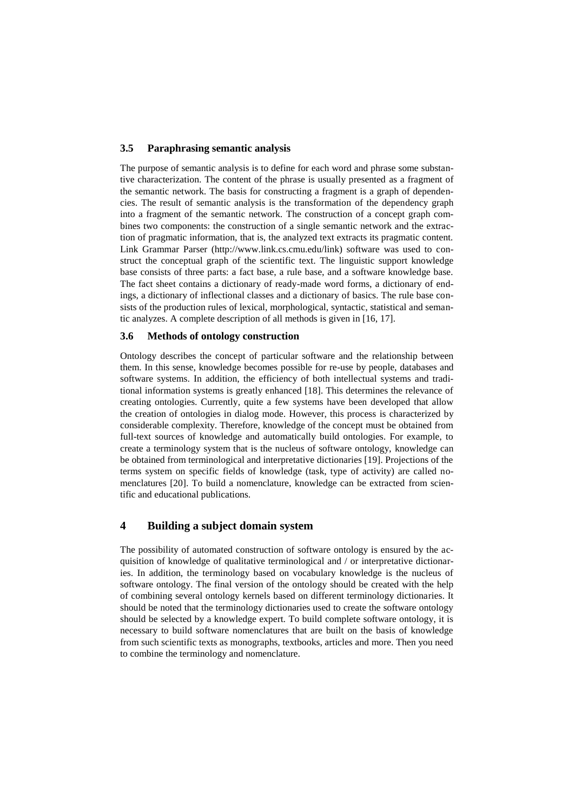## **3.5 Paraphrasing semantic analysis**

The purpose of semantic analysis is to define for each word and phrase some substantive characterization. The content of the phrase is usually presented as a fragment of the semantic network. The basis for constructing a fragment is a graph of dependencies. The result of semantic analysis is the transformation of the dependency graph into a fragment of the semantic network. The construction of a concept graph combines two components: the construction of a single semantic network and the extraction of pragmatic information, that is, the analyzed text extracts its pragmatic content. Link Grammar Parser (http://www.link.cs.cmu.edu/link) software was used to construct the conceptual graph of the scientific text. The linguistic support knowledge base consists of three parts: a fact base, a rule base, and a software knowledge base. The fact sheet contains a dictionary of ready-made word forms, a dictionary of endings, a dictionary of inflectional classes and a dictionary of basics. The rule base consists of the production rules of lexical, morphological, syntactic, statistical and semantic analyzes. A complete description of all methods is given in [16, 17].

## **3.6 Methods of ontology construction**

Ontology describes the concept of particular software and the relationship between them. In this sense, knowledge becomes possible for re-use by people, databases and software systems. In addition, the efficiency of both intellectual systems and traditional information systems is greatly enhanced [18]. This determines the relevance of creating ontologies. Currently, quite a few systems have been developed that allow the creation of ontologies in dialog mode. However, this process is characterized by considerable complexity. Therefore, knowledge of the concept must be obtained from full-text sources of knowledge and automatically build ontologies. For example, to create a terminology system that is the nucleus of software ontology, knowledge can be obtained from terminological and interpretative dictionaries [19]. Projections of the terms system on specific fields of knowledge (task, type of activity) are called nomenclatures [20]. To build a nomenclature, knowledge can be extracted from scientific and educational publications.

# **4 Building a subject domain system**

The possibility of automated construction of software ontology is ensured by the acquisition of knowledge of qualitative terminological and / or interpretative dictionaries. In addition, the terminology based on vocabulary knowledge is the nucleus of software ontology. The final version of the ontology should be created with the help of combining several ontology kernels based on different terminology dictionaries. It should be noted that the terminology dictionaries used to create the software ontology should be selected by a knowledge expert. To build complete software ontology, it is necessary to build software nomenclatures that are built on the basis of knowledge from such scientific texts as monographs, textbooks, articles and more. Then you need to combine the terminology and nomenclature.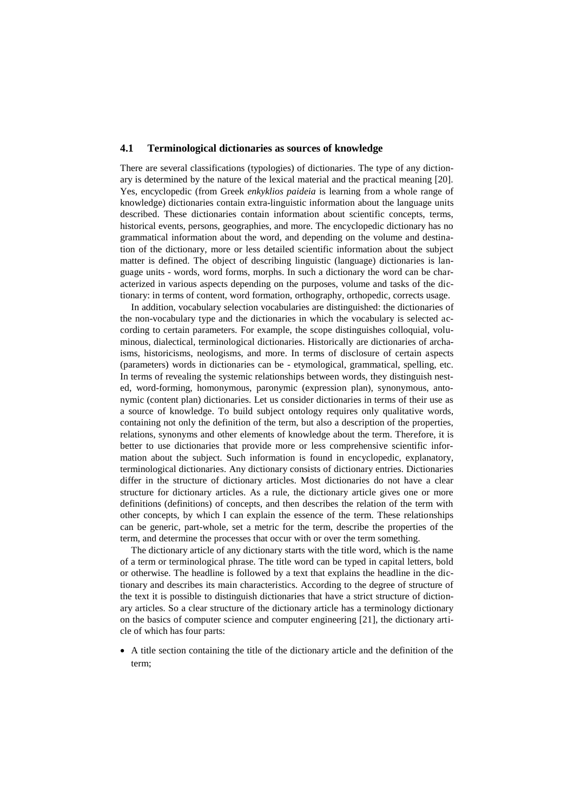#### **4.1 Terminological dictionaries as sources of knowledge**

There are several classifications (typologies) of dictionaries. The type of any dictionary is determined by the nature of the lexical material and the practical meaning [20]. Yes, encyclopedic (from Greek *enkyklios paideia* is learning from a whole range of knowledge) dictionaries contain extra-linguistic information about the language units described. These dictionaries contain information about scientific concepts, terms, historical events, persons, geographies, and more. The encyclopedic dictionary has no grammatical information about the word, and depending on the volume and destination of the dictionary, more or less detailed scientific information about the subject matter is defined. The object of describing linguistic (language) dictionaries is language units - words, word forms, morphs. In such a dictionary the word can be characterized in various aspects depending on the purposes, volume and tasks of the dictionary: in terms of content, word formation, orthography, orthopedic, corrects usage.

In addition, vocabulary selection vocabularies are distinguished: the dictionaries of the non-vocabulary type and the dictionaries in which the vocabulary is selected according to certain parameters. For example, the scope distinguishes colloquial, voluminous, dialectical, terminological dictionaries. Historically are dictionaries of archaisms, historicisms, neologisms, and more. In terms of disclosure of certain aspects (parameters) words in dictionaries can be - etymological, grammatical, spelling, etc. In terms of revealing the systemic relationships between words, they distinguish nested, word-forming, homonymous, paronymic (expression plan), synonymous, antonymic (content plan) dictionaries. Let us consider dictionaries in terms of their use as a source of knowledge. To build subject ontology requires only qualitative words, containing not only the definition of the term, but also a description of the properties, relations, synonyms and other elements of knowledge about the term. Therefore, it is better to use dictionaries that provide more or less comprehensive scientific information about the subject. Such information is found in encyclopedic, explanatory, terminological dictionaries. Any dictionary consists of dictionary entries. Dictionaries differ in the structure of dictionary articles. Most dictionaries do not have a clear structure for dictionary articles. As a rule, the dictionary article gives one or more definitions (definitions) of concepts, and then describes the relation of the term with other concepts, by which I can explain the essence of the term. These relationships can be generic, part-whole, set a metric for the term, describe the properties of the term, and determine the processes that occur with or over the term something.

The dictionary article of any dictionary starts with the title word, which is the name of a term or terminological phrase. The title word can be typed in capital letters, bold or otherwise. The headline is followed by a text that explains the headline in the dictionary and describes its main characteristics. According to the degree of structure of the text it is possible to distinguish dictionaries that have a strict structure of dictionary articles. So a clear structure of the dictionary article has a terminology dictionary on the basics of computer science and computer engineering [21], the dictionary article of which has four parts:

 A title section containing the title of the dictionary article and the definition of the term;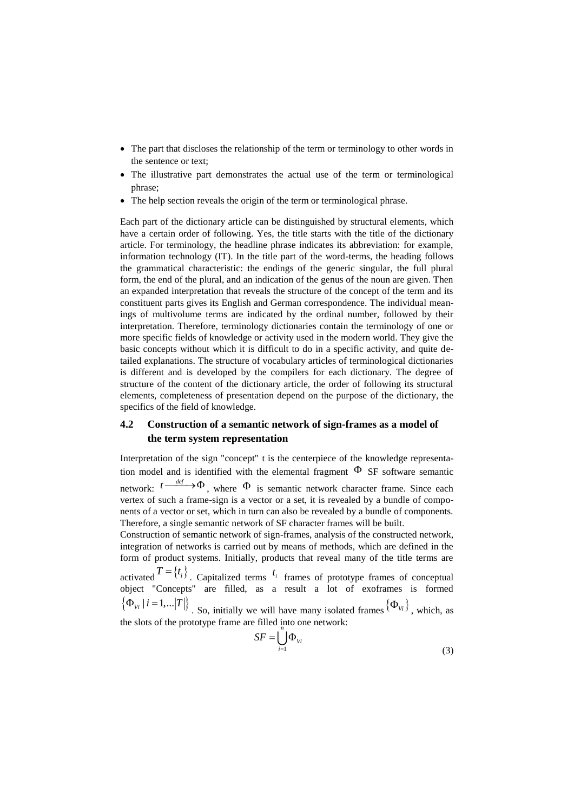- The part that discloses the relationship of the term or terminology to other words in the sentence or text;
- The illustrative part demonstrates the actual use of the term or terminological phrase;
- The help section reveals the origin of the term or terminological phrase.

Each part of the dictionary article can be distinguished by structural elements, which have a certain order of following. Yes, the title starts with the title of the dictionary article. For terminology, the headline phrase indicates its abbreviation: for example, information technology (IT). In the title part of the word-terms, the heading follows the grammatical characteristic: the endings of the generic singular, the full plural form, the end of the plural, and an indication of the genus of the noun are given. Then an expanded interpretation that reveals the structure of the concept of the term and its constituent parts gives its English and German correspondence. The individual meanings of multivolume terms are indicated by the ordinal number, followed by their interpretation. Therefore, terminology dictionaries contain the terminology of one or more specific fields of knowledge or activity used in the modern world. They give the basic concepts without which it is difficult to do in a specific activity, and quite detailed explanations. The structure of vocabulary articles of terminological dictionaries is different and is developed by the compilers for each dictionary. The degree of structure of the content of the dictionary article, the order of following its structural elements, completeness of presentation depend on the purpose of the dictionary, the specifics of the field of knowledge.

## **4.2 Construction of a semantic network of sign-frames as a model of the term system representation**

Interpretation of the sign "concept" t is the centerpiece of the knowledge representation model and is identified with the elemental fragment  $\Phi$  SF software semantic network:  $t \rightarrow 0$ , where  $\Phi$  is semantic network character frame. Since each vertex of such a frame-sign is a vector or a set, it is revealed by a bundle of components of a vector or set, which in turn can also be revealed by a bundle of components. Therefore, a single semantic network of SF character frames will be built.

Construction of semantic network of sign-frames, analysis of the constructed network, integration of networks is carried out by means of methods, which are defined in the form of product systems. Initially, products that reveal many of the title terms are activated  $T = \{t_i\}$ . Capitalized terms  $t_i$  frames of prototype frames of conceptual

object "Concepts" are filled, as a result a lot of exoframes is formed  $\{\Phi_{vi} | i = 1,...|T|\}$ . So, initially we will have many isolated frames  $\{\Phi_{vi}\}\)$ , which, as

the slots of the prototype frame are filled  $\frac{1}{n}$  nto one network:

$$
SF = \bigcup_{i=1}^{\infty} \Phi_{Vi} \tag{3}
$$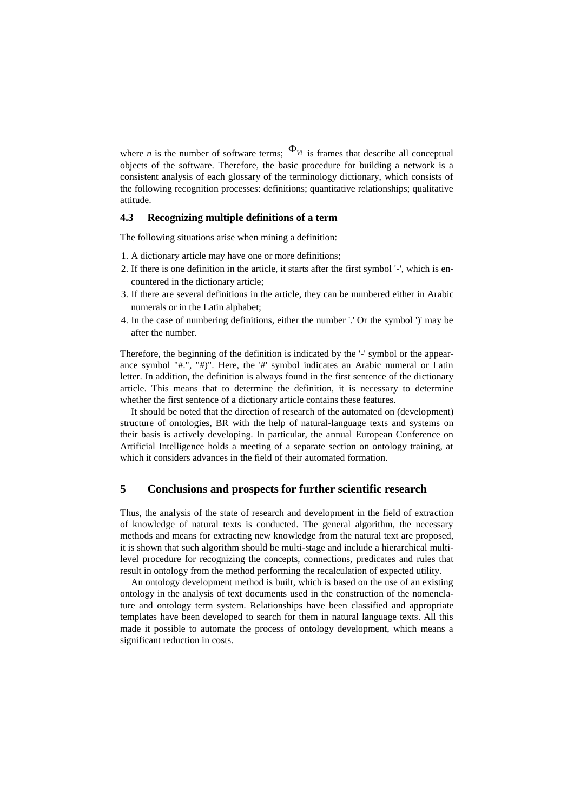where *n* is the number of software terms;  $\Phi_{V_i}$  is frames that describe all conceptual objects of the software. Therefore, the basic procedure for building a network is a consistent analysis of each glossary of the terminology dictionary, which consists of the following recognition processes: definitions; quantitative relationships; qualitative attitude.

## **4.3 Recognizing multiple definitions of a term**

The following situations arise when mining a definition:

- 1. A dictionary article may have one or more definitions;
- 2. If there is one definition in the article, it starts after the first symbol '-', which is encountered in the dictionary article;
- 3. If there are several definitions in the article, they can be numbered either in Arabic numerals or in the Latin alphabet;
- 4. In the case of numbering definitions, either the number '.' Or the symbol ')' may be after the number.

Therefore, the beginning of the definition is indicated by the '-' symbol or the appearance symbol "#.", "#)". Here, the '#' symbol indicates an Arabic numeral or Latin letter. In addition, the definition is always found in the first sentence of the dictionary article. This means that to determine the definition, it is necessary to determine whether the first sentence of a dictionary article contains these features.

It should be noted that the direction of research of the automated on (development) structure of ontologies, BR with the help of natural-language texts and systems on their basis is actively developing. In particular, the annual European Conference on Artificial Intelligence holds a meeting of a separate section on ontology training, at which it considers advances in the field of their automated formation.

# **5 Conclusions and prospects for further scientific research**

Thus, the analysis of the state of research and development in the field of extraction of knowledge of natural texts is conducted. The general algorithm, the necessary methods and means for extracting new knowledge from the natural text are proposed, it is shown that such algorithm should be multi-stage and include a hierarchical multilevel procedure for recognizing the concepts, connections, predicates and rules that result in ontology from the method performing the recalculation of expected utility.

An ontology development method is built, which is based on the use of an existing ontology in the analysis of text documents used in the construction of the nomenclature and ontology term system. Relationships have been classified and appropriate templates have been developed to search for them in natural language texts. All this made it possible to automate the process of ontology development, which means a significant reduction in costs.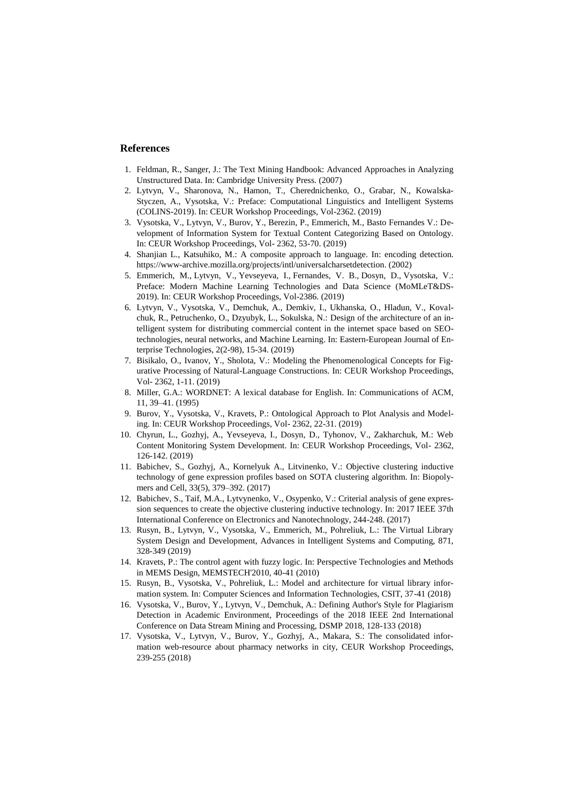#### **References**

- 1. Feldman, R., Sanger, J.: The Text Mining Handbook: Advanced Approaches in Analyzing Unstructured Data. In: Cambridge University Press. (2007)
- 2. Lytvyn, V., Sharonova, N., Hamon, T., Cherednichenko, O., Grabar, N., Kowalska-Styczen, A., Vysotska, V.: Preface: Computational Linguistics and Intelligent Systems [\(COLINS-2019\)](http://colins.in.ua/). In: CEUR Workshop Proceedings, Vol-2362. (2019)
- 3. Vysotska, V., Lytvyn, V., Burov, Y., Berezin, P., Emmerich, M., Basto Fernandes V.: Development of Information System for Textual Content Categorizing Based on Ontology. In: CEUR Workshop Proceedings, Vol- 2362, 53-70. (2019)
- 4. Shanjian L., Katsuhiko, M.: A composite approach to language. In: encoding detection. https://www-archive.mozilla.org/projects/intl/universalcharsetdetection. (2002)
- 5. Emmerich, M., Lytvyn, V., Yevseyeva, I., Fernandes, V. B., Dosyn, D., Vysotska, V.: Preface: Modern Machine Learning Technologies and Data Science [\(MoMLeT&DS-](http://momlet.in.ua/about-momlet/)[2019\)](http://momlet.in.ua/about-momlet/). In: CEUR Workshop Proceedings, Vol-2386. (2019)
- 6. Lytvyn, V., Vysotska, V., Demchuk, A., Demkiv, I., Ukhanska, O., Hladun, V., Kovalchuk, R., Petruchenko, O., Dzyubyk, L., Sokulska, N.: [Design of the architecture of an in](http://journals.uran.ua/eejet/article/view/164441)[telligent system for distributing commercial content in the internet space based on SEO](http://journals.uran.ua/eejet/article/view/164441)[technologies, neural networks, and Machine Learning.](http://journals.uran.ua/eejet/article/view/164441) In[: Eastern-European Journal of En](https://www.scopus.com/sourceid/21100450083?origin=resultslist)[terprise Technologies,](https://www.scopus.com/sourceid/21100450083?origin=resultslist) 2(2-98), 15-34. (2019)
- 7. Bisikalo, O., Ivanov, Y., Sholota, V.: Modeling the Phenomenological Concepts for Figurative Processing of Natural-Language Constructions. In: CEUR Workshop Proceedings, Vol- 2362, 1-11. (2019)
- 8. Miller, G.A.: WORDNET: A lexical database for English. In: Communications of ACM, 11, 39–41. (1995)
- 9. Burov, Y., Vysotska, V., Kravets, P.: Ontological Approach to Plot Analysis and Modeling. In: CEUR Workshop Proceedings, Vol- 2362, 22-31. (2019)
- 10. Chyrun, L., Gozhyj, A., Yevseyeva, I., Dosyn, D., Tyhonov, V., Zakharchuk, M.: Web Content Monitoring System Development. In: CEUR Workshop Proceedings, Vol- 2362, 126-142. (2019)
- 11. Babichev, S., Gozhyj, A., Kornelyuk A., Litvinenko, V.: Objective clustering inductive technology of gene expression profiles based on SOTA clustering algorithm. In: Biopolymers and Cell, 33(5), 379–392. (2017)
- 12. Babichev, S., Taif, M.A., Lytvynenko, V., Osypenko, V.: Criterial analysis of gene expression sequences to create the objective clustering inductive technology. In: 2017 IEEE 37th International Conference on Electronics and Nanotechnology, 244-248. (2017)
- 13. Rusyn, B., Lytvyn, V., Vysotska, V., Emmerich, M., Pohreliuk, L.: The Virtual Library System Design and Development, Advances in Intelligent Systems and Computing, 871, 328-349 (2019)
- 14. Kravets, P.: The control agent with fuzzy logic. In: Perspective Technologies and Methods in MEMS Design, MEMSTECH'2010, 40-41 (2010)
- 15. Rusyn, B., Vysotska, V., Pohreliuk, L.: Model and architecture for virtual library information system. In: Computer Sciences and Information Technologies, CSIT, 37-41 (2018)
- 16. Vysotska, V., Burov, Y., Lytvyn, V., Demchuk, A.: Defining Author's Style for Plagiarism Detection in Academic Environment, Proceedings of the 2018 IEEE 2nd International Conference on Data Stream Mining and Processing, DSMP 2018, 128-133 (2018)
- 17. Vysotska, V., Lytvyn, V., Burov, Y., Gozhyj, A., Makara, S.: The consolidated information web-resource about pharmacy networks in city, CEUR Workshop Proceedings, 239-255 (2018)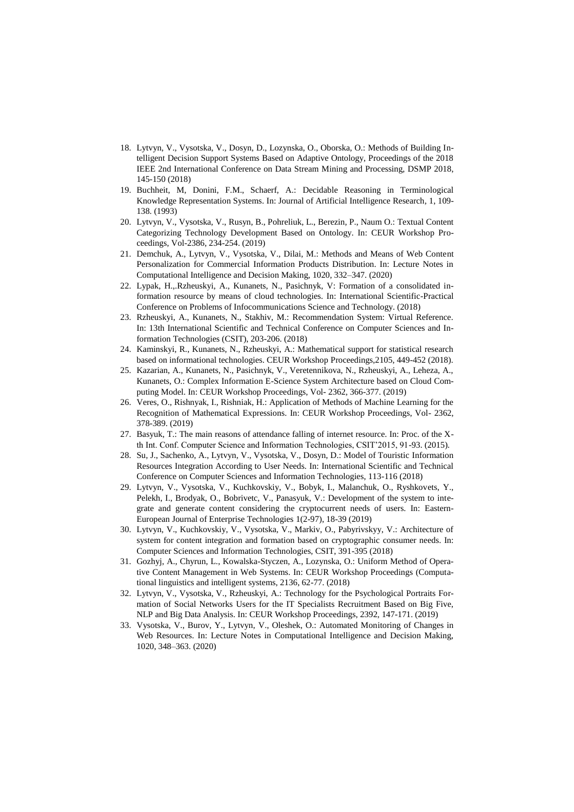- 18. Lytvyn, V., Vysotska, V., Dosyn, D., Lozynska, O., Oborska, O.: Methods of Building Intelligent Decision Support Systems Based on Adaptive Ontology, Proceedings of the 2018 IEEE 2nd International Conference on Data Stream Mining and Processing, DSMP 2018, 145-150 (2018)
- 19. Buchheit, M, Donini, F.M., Schaerf, A.: Decidable Reasoning in Terminological Knowledge Representation Systems. In: Journal of Artificial Intelligence Research, 1, 109- 138. (1993)
- 20. Lytvyn, V., Vysotska, V., Rusyn, B., Pohreliuk, L., Berezin, P., Naum O.: Textual Content Categorizing Technology Development Based on Ontology. In: CEUR Workshop Proceedings, Vol-2386, 234-254. (2019)
- 21. Demchuk, A., Lytvyn, V., Vysotska, V., Dilai, M.: Methods and Means of Web Content Personalization for Commercial Information Products Distribution. In: Lecture Notes in Computational Intelligence and Decision Making, 1020, 332–347. (2020)
- 22. Lypak, H.,.Rzheuskyi, A., Kunanets, N., Pasichnyk, V: Formation of a consolidated information resource by means of cloud technologies. In: International Scientific-Practical Conference on Problems of Infocommunications Science and Technology. (2018)
- 23. Rzheuskyi, A., Kunanets, N., Stakhiv, M.: Recommendation System: Virtual Reference. In: 13th International Scientific and Technical Conference on Computer Sciences and Information Technologies (CSIT), 203-206. (2018)
- 24. Kaminskyi, R., Kunanets, N., Rzheuskyi, A.: Mathematical support for statistical research based on informational technologies. CEUR Workshop Proceedings,2105, 449-452 (2018).
- 25. Kazarian, A., Kunanets, N., Pasichnyk, V., Veretennikova, N., Rzheuskyi, A., Leheza, A., Kunanets, O.: Complex Information E-Science System Architecture based on Cloud Computing Model. In: CEUR Workshop Proceedings, Vol- 2362, 366-377. (2019)
- 26. Veres, O., Rishnyak, I., Rishniak, H.: Application of Methods of Machine Learning for the Recognition of Mathematical Expressions. In: CEUR Workshop Proceedings, Vol- 2362, 378-389. (2019)
- 27. Basyuk, T.: The main reasons of attendance falling of internet resource. In: Proc. of the Xth Int. Conf. Computer Science and Information Technologies, CSIT'2015, 91-93. (2015).
- 28. Su, J., Sachenko, A., Lytvyn, V., Vysotska, V., Dosyn, D.: Model of Touristic Information Resources Integration According to User Needs. In: International Scientific and Technical Conference on Computer Sciences and Information Technologies, 113-116 (2018)
- 29. Lytvyn, V., Vysotska, V., Kuchkovskiy, V., Bobyk, I., Malanchuk, O., Ryshkovets, Y., Pelekh, I., Brodyak, O., Bobrivetc, V., Panasyuk, V.: Development of the system to integrate and generate content considering the cryptocurrent needs of users. In: [Eastern-](https://www.scopus.com/sourceid/21100450083?origin=resultslist)[European Journal of Enterprise Technologies](https://www.scopus.com/sourceid/21100450083?origin=resultslist) 1(2-97), 18-39 (2019)
- 30. Lytvyn, V., Kuchkovskiy, V., Vysotska, V., Markiv, O., Pabyrivskyy, V.: Architecture of system for content integration and formation based on cryptographic consumer needs. In: Computer Sciences and Information Technologies, CSIT, 391-395 (2018)
- 31. Gozhyj, A., Chyrun, L., Kowalska-Styczen, A., Lozynska, O.: Uniform Method of Operative Content Management in Web Systems. In: CEUR Workshop Proceedings (Computational linguistics and intelligent systems, 2136, 62-77. (2018)
- 32. Lytvyn, V., Vysotska, V., Rzheuskyi, A.: Technology for the Psychological Portraits Formation of Social Networks Users for the IT Specialists Recruitment Based on Big Five, NLP and Big Data Analysis. In: CEUR Workshop Proceedings, 2392, 147-171. (2019)
- 33. Vysotska, V., Burov, Y., Lytvyn, V., Oleshek, O.: Automated Monitoring of Changes in Web Resources. In: Lecture Notes in Computational Intelligence and Decision Making, 1020, 348–363. (2020)